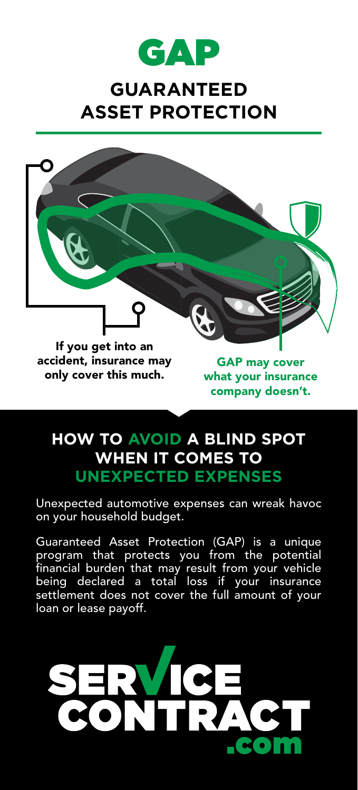

## **GUARANTEED ASSET PROTECTION**



## **HOW TO AVOID A BLIND SPOT WHEN IT COMES TO UNEXPECTED EXPENSES**

Unexpected automotive expenses can wreak havoc on your household budget.

Guaranteed Asset Protection (GAP) is a unique program that protects you from the potential financial burden that may result from your vehicle being declared a total loss if your insurance settlement does not cover the full amount of your loan or lease payoff.